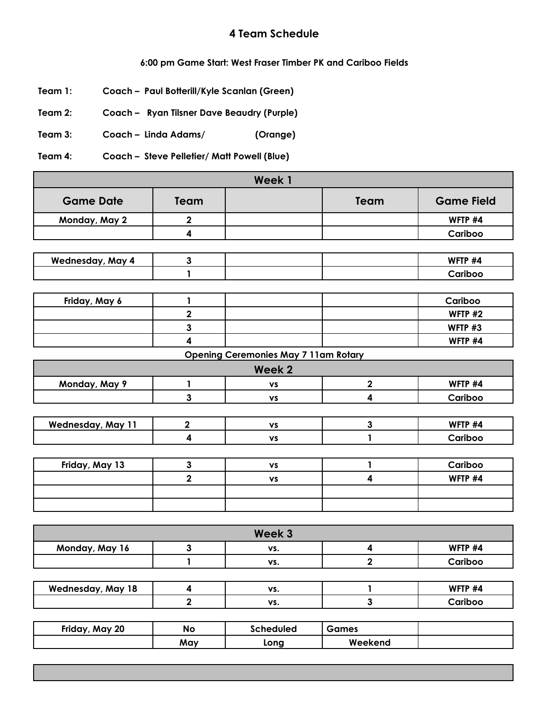## **4 Team Schedule**

## **6:00 pm Game Start: West Fraser Timber PK and Cariboo Fields**

- **Team 1: Coach – Paul Botterill/Kyle Scanlan (Green)**
- **Team 2: Coach – Ryan Tilsner Dave Beaudry (Purple)**
- **Team 3: Coach – Linda Adams/ (Orange)**

**Team 4: Coach – Steve Pelletier/ Matt Powell (Blue)**

| Week 1                   |                         |                                             |                         |                   |  |
|--------------------------|-------------------------|---------------------------------------------|-------------------------|-------------------|--|
| <b>Game Date</b>         | Team                    |                                             | Team                    | <b>Game Field</b> |  |
| Monday, May 2            | $\boldsymbol{2}$        |                                             |                         | WFTP #4           |  |
|                          | $\overline{\mathbf{4}}$ |                                             |                         | Cariboo           |  |
|                          |                         |                                             |                         |                   |  |
| <b>Wednesday, May 4</b>  | $\mathbf{3}$            |                                             |                         | WFTP #4           |  |
|                          | $\mathbf{1}$            |                                             |                         | Cariboo           |  |
|                          |                         |                                             |                         |                   |  |
| Friday, May 6            | $\mathbf{1}$            |                                             |                         | Cariboo           |  |
|                          | $\mathbf 2$             |                                             |                         | WFTP #2           |  |
|                          | $\mathbf{3}$            |                                             |                         | WFTP #3           |  |
|                          | $\overline{\mathbf{4}}$ |                                             |                         | WFTP #4           |  |
|                          |                         | <b>Opening Ceremonies May 7 11am Rotary</b> |                         |                   |  |
|                          |                         | Week <sub>2</sub>                           |                         |                   |  |
| Monday, May 9            | $\mathbf{1}$            | $\mathbf{v}\mathbf{s}$                      | $\mathbf 2$             | WFTP #4           |  |
|                          | $\overline{\mathbf{3}}$ | <b>VS</b>                                   | $\overline{\mathbf{4}}$ | Cariboo           |  |
|                          |                         |                                             |                         |                   |  |
| <b>Wednesday, May 11</b> | $\mathbf 2$             | <b>VS</b>                                   | $\mathbf{3}$            | WFTP #4           |  |
|                          | $\overline{\mathbf{4}}$ | $\boldsymbol{\mathsf{vs}}$                  | $\mathbf{1}$            | Cariboo           |  |
|                          |                         |                                             |                         |                   |  |
| Friday, May 13           | $\mathbf{3}$            | <b>VS</b>                                   | 1                       | Cariboo           |  |
|                          | $\overline{\mathbf{2}}$ | <b>VS</b>                                   | $\overline{\mathbf{4}}$ | WFTP #4           |  |
|                          |                         |                                             |                         |                   |  |
|                          |                         |                                             |                         |                   |  |
|                          |                         |                                             |                         |                   |  |
|                          |                         | Week 3                                      |                         |                   |  |
| Monday, May 16           | $\mathbf{3}$            | VS.                                         | 4                       | WFTP #4           |  |
|                          | $\mathbf{1}$            | VS.                                         | $\overline{2}$          | Cariboo           |  |
|                          |                         |                                             |                         |                   |  |
| <b>Wednesday, May 18</b> | 4                       | VS.                                         | 1                       | WFTP #4           |  |
|                          | $\overline{\mathbf{2}}$ | VS.                                         | $\mathbf{3}$            | Cariboo           |  |

| Friday,<br><b>May 20</b> | No  | Scheduled | Games   |  |
|--------------------------|-----|-----------|---------|--|
|                          | May | Long      | Weekend |  |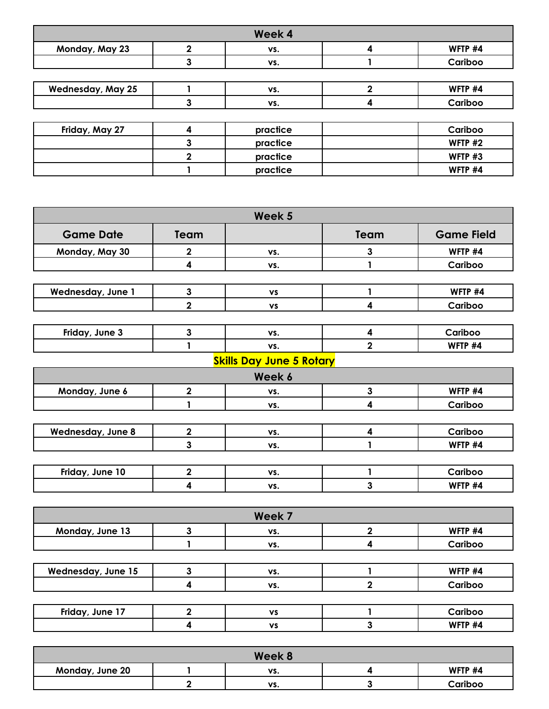| Week 4           |          |   |           |  |  |
|------------------|----------|---|-----------|--|--|
| 2                | VS.      | 4 | WFTP #4   |  |  |
| 3                | VS.      |   | Cariboo   |  |  |
|                  |          |   |           |  |  |
|                  | VS.      | 2 | WFTP #4   |  |  |
| 3                | VS.      | 4 | Cariboo   |  |  |
|                  |          |   |           |  |  |
| $\boldsymbol{4}$ | practice |   | Cariboo   |  |  |
| 3                | practice |   | WFTP $#2$ |  |  |
| $\mathbf{2}$     | practice |   | WFTP #3   |  |  |
|                  | practice |   | WFTP #4   |  |  |
|                  |          |   |           |  |  |

| Team                    |           | Team                    | <b>Game Field</b>               |
|-------------------------|-----------|-------------------------|---------------------------------|
| $\mathbf 2$             | VS.       | 3                       | WFTP #4                         |
| $\boldsymbol{4}$        | VS.       | 1                       | Cariboo                         |
|                         |           |                         |                                 |
| $\mathbf{3}$            | <b>VS</b> | $\mathbf{1}$            | WFTP #4                         |
| $\overline{\mathbf{2}}$ | <b>VS</b> | 4                       | Cariboo                         |
|                         |           |                         |                                 |
| $\mathbf{3}$            | VS.       | $\overline{\mathbf{4}}$ | Cariboo                         |
| 1                       | VS.       | $\overline{2}$          | WFTP #4                         |
|                         |           |                         |                                 |
|                         | Week 6    |                         |                                 |
| $\mathbf 2$             | VS.       | 3                       | WFTP #4                         |
|                         | VS.       | 4                       | Cariboo                         |
|                         |           |                         |                                 |
| $\mathbf{2}$            | VS.       | 4                       | Cariboo                         |
| 3                       | VS.       | 1                       | WFTP #4                         |
|                         |           |                         |                                 |
| $\overline{\mathbf{2}}$ | VS.       | 1                       | Cariboo                         |
| 4                       | VS.       | 3                       | WFTP #4                         |
|                         |           |                         | <b>Skills Day June 5 Rotary</b> |

| Week 7                    |  |           |  |         |
|---------------------------|--|-----------|--|---------|
| Monday, June 13           |  | VS.       |  | WFTP #4 |
|                           |  | VS.       |  | Cariboo |
|                           |  |           |  |         |
| <b>Wednesday, June 15</b> |  | VS.       |  | WFTP #4 |
|                           |  | VS.       |  | Cariboo |
|                           |  |           |  |         |
| Friday, June 17           |  | <b>VS</b> |  | Cariboo |
|                           |  | VS        |  | WFTP #4 |

| Week 8          |  |     |  |         |
|-----------------|--|-----|--|---------|
| Monday, June 20 |  | VS. |  | WFTP #4 |
|                 |  | VS. |  | Cariboo |